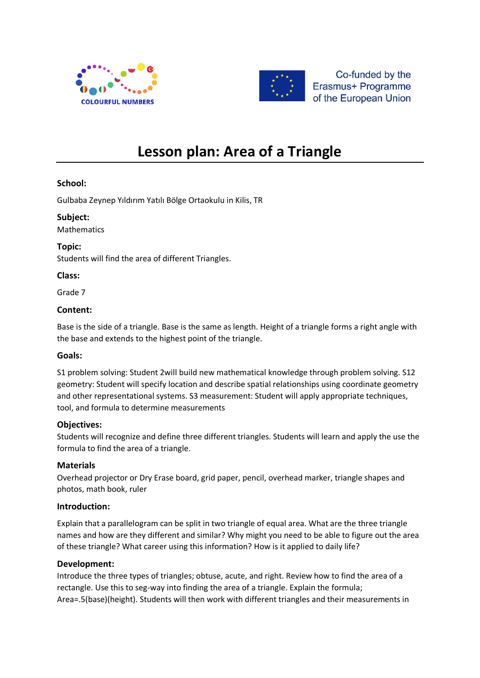



Co-funded by the Erasmus+ Programme of the European Union

# **Lesson plan: Area of a Triangle**

# **School:**

Gulbaba Zeynep Yıldırım Yatılı Bölge Ortaokulu in Kilis, TR

## **Subject:**

Mathematics

**Topic:** Students will find the area of different Triangles.

# **Class:**

Grade 7

## **Content:**

Base is the side of a triangle. Base is the same as length. Height of a triangle forms a right angle with the base and extends to the highest point of the triangle.

# **Goals:**

S1 problem solving: Student 2will build new mathematical knowledge through problem solving. S12 geometry: Student will specify location and describe spatial relationships using coordinate geometry and other representational systems. S3 measurement: Student will apply appropriate techniques, tool, and formula to determine measurements

# **Objectives:**

Students will recognize and define three different triangles. Students will learn and apply the use the formula to find the area of a triangle.

# **Materials**

Overhead projector or Dry Erase board, grid paper, pencil, overhead marker, triangle shapes and photos, math book, ruler

#### **Introduction:**

Explain that a parallelogram can be split in two triangle of equal area. What are the three triangle names and how are they different and similar? Why might you need to be able to figure out the area of these triangle? What career using this information? How is it applied to daily life?

#### **Development:**

Introduce the three types of triangles; obtuse, acute, and right. Review how to find the area of a rectangle. Use this to seg-way into finding the area of a triangle. Explain the formula; Area=.5(base)(height). Students will then work with different triangles and their measurements in